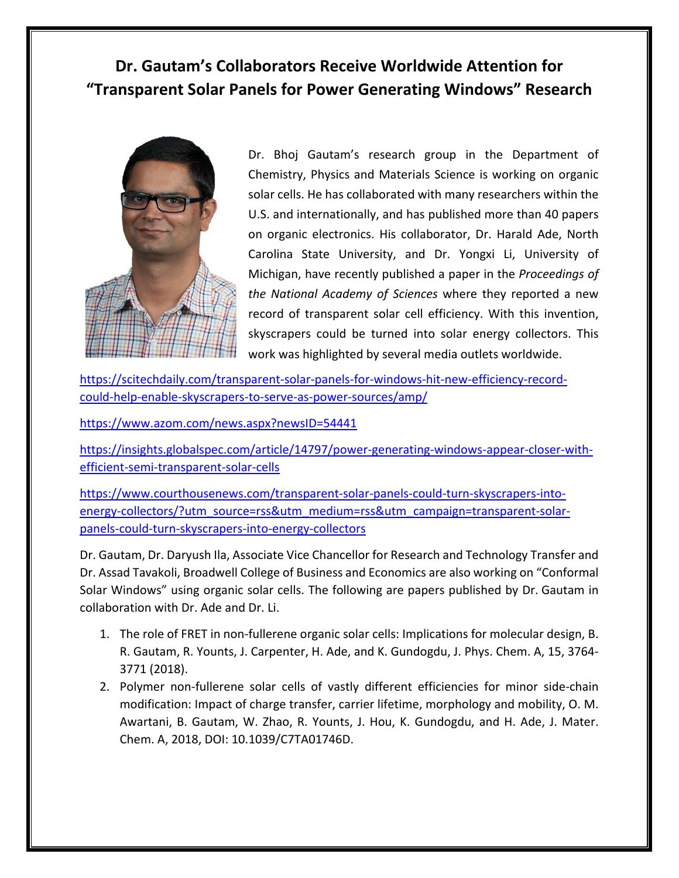## **Dr. Gautam's Collaborators Receive Worldwide Attention for "Transparent Solar Panels for Power Generating Windows" Research**



Dr. Bhoj Gautam's research group in the Department of Chemistry, Physics and Materials Science is working on organic solar cells. He has collaborated with many researchers within the U.S. and internationally, and has published more than 40 papers on organic electronics. His collaborator, Dr. Harald Ade, North Carolina State University, and Dr. Yongxi Li, University of Michigan, have recently published a paper in the *Proceedings of the National Academy of Sciences* where they reported a new record of transparent solar cell efficiency. With this invention, skyscrapers could be turned into solar energy collectors. This work was highlighted by several media outlets worldwide.

[https://scitechdaily.com/transparent-solar-panels-for-windows-hit-new-efficiency-record](https://scitechdaily.com/transparent-solar-panels-for-windows-hit-new-efficiency-record-could-help-enable-skyscrapers-to-serve-as-power-sources/amp/)[could-help-enable-skyscrapers-to-serve-as-power-sources/amp/](https://scitechdaily.com/transparent-solar-panels-for-windows-hit-new-efficiency-record-could-help-enable-skyscrapers-to-serve-as-power-sources/amp/)

<https://www.azom.com/news.aspx?newsID=54441>

[https://insights.globalspec.com/article/14797/power-generating-windows-appear-closer-with](https://insights.globalspec.com/article/14797/power-generating-windows-appear-closer-with-efficient-semi-transparent-solar-cells)[efficient-semi-transparent-solar-cells](https://insights.globalspec.com/article/14797/power-generating-windows-appear-closer-with-efficient-semi-transparent-solar-cells)

[https://www.courthousenews.com/transparent-solar-panels-could-turn-skyscrapers-into](https://www.courthousenews.com/transparent-solar-panels-could-turn-skyscrapers-into-energy-collectors/?utm_source=rss&utm_medium=rss&utm_campaign=transparent-solar-panels-could-turn-skyscrapers-into-energy-collectors)[energy-collectors/?utm\\_source=rss&utm\\_medium=rss&utm\\_campaign=transparent-solar](https://www.courthousenews.com/transparent-solar-panels-could-turn-skyscrapers-into-energy-collectors/?utm_source=rss&utm_medium=rss&utm_campaign=transparent-solar-panels-could-turn-skyscrapers-into-energy-collectors)[panels-could-turn-skyscrapers-into-energy-collectors](https://www.courthousenews.com/transparent-solar-panels-could-turn-skyscrapers-into-energy-collectors/?utm_source=rss&utm_medium=rss&utm_campaign=transparent-solar-panels-could-turn-skyscrapers-into-energy-collectors)

Dr. Gautam, Dr. Daryush Ila, Associate Vice Chancellor for Research and Technology Transfer and Dr. Assad Tavakoli, Broadwell College of Business and Economics are also working on "Conformal Solar Windows" using organic solar cells. The following are papers published by Dr. Gautam in collaboration with Dr. Ade and Dr. Li.

- 1. The role of FRET in non-fullerene organic solar cells: Implications for molecular design, B. R. Gautam, R. Younts, J. Carpenter, H. Ade, and K. Gundogdu, J. Phys. Chem. A, 15, 3764- 3771 (2018).
- 2. Polymer non-fullerene solar cells of vastly different efficiencies for minor side-chain modification: Impact of charge transfer, carrier lifetime, morphology and mobility, O. M. Awartani, B. Gautam, W. Zhao, R. Younts, J. Hou, K. Gundogdu, and H. Ade, J. Mater. Chem. A, 2018, DOI: 10.1039/C7TA01746D.